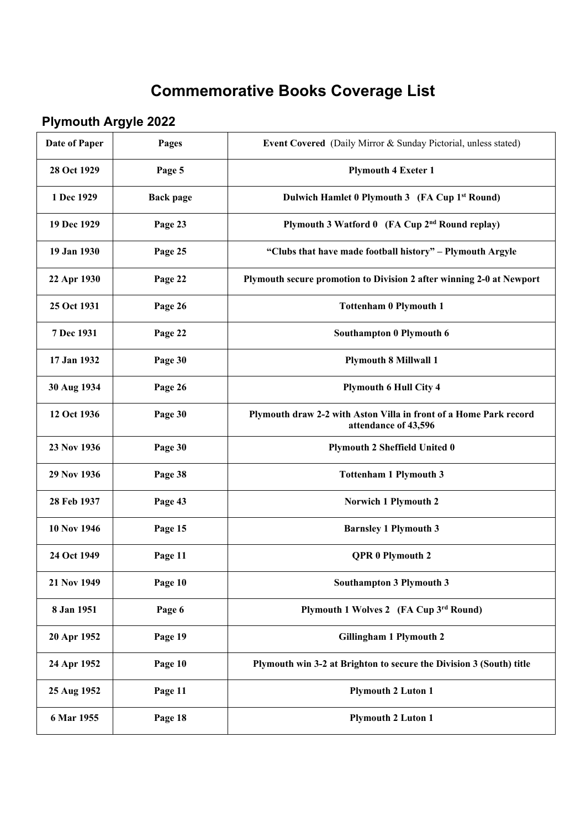## **Commemorative Books Coverage List**

## **Plymouth Argyle 2022**

| <b>Date of Paper</b> | Pages            | Event Covered (Daily Mirror & Sunday Pictorial, unless stated)                            |
|----------------------|------------------|-------------------------------------------------------------------------------------------|
| 28 Oct 1929          | Page 5           | <b>Plymouth 4 Exeter 1</b>                                                                |
| 1 Dec 1929           | <b>Back page</b> | Dulwich Hamlet 0 Plymouth 3 (FA Cup 1 <sup>st</sup> Round)                                |
| 19 Dec 1929          | Page 23          | Plymouth 3 Watford 0 (FA Cup 2 <sup>nd</sup> Round replay)                                |
| 19 Jan 1930          | Page 25          | "Clubs that have made football history" - Plymouth Argyle                                 |
| 22 Apr 1930          | Page 22          | Plymouth secure promotion to Division 2 after winning 2-0 at Newport                      |
| 25 Oct 1931          | Page 26          | <b>Tottenham 0 Plymouth 1</b>                                                             |
| 7 Dec 1931           | Page 22          | Southampton 0 Plymouth 6                                                                  |
| 17 Jan 1932          | Page 30          | <b>Plymouth 8 Millwall 1</b>                                                              |
| 30 Aug 1934          | Page 26          | <b>Plymouth 6 Hull City 4</b>                                                             |
| 12 Oct 1936          | Page 30          | Plymouth draw 2-2 with Aston Villa in front of a Home Park record<br>attendance of 43,596 |
| 23 Nov 1936          | Page 30          | <b>Plymouth 2 Sheffield United 0</b>                                                      |
| 29 Nov 1936          | Page 38          | <b>Tottenham 1 Plymouth 3</b>                                                             |
| 28 Feb 1937          | Page 43          | Norwich 1 Plymouth 2                                                                      |
| 10 Nov 1946          | Page 15          | <b>Barnsley 1 Plymouth 3</b>                                                              |
| 24 Oct 1949          | Page 11          | QPR 0 Plymouth 2                                                                          |
| 21 Nov 1949          | Page 10          | <b>Southampton 3 Plymouth 3</b>                                                           |
| 8 Jan 1951           | Page 6           | Plymouth 1 Wolves 2 (FA Cup 3rd Round)                                                    |
| 20 Apr 1952          | Page 19          | <b>Gillingham 1 Plymouth 2</b>                                                            |
| 24 Apr 1952          | Page 10          | Plymouth win 3-2 at Brighton to secure the Division 3 (South) title                       |
| 25 Aug 1952          | Page 11          | <b>Plymouth 2 Luton 1</b>                                                                 |
| 6 Mar 1955           | Page 18          | <b>Plymouth 2 Luton 1</b>                                                                 |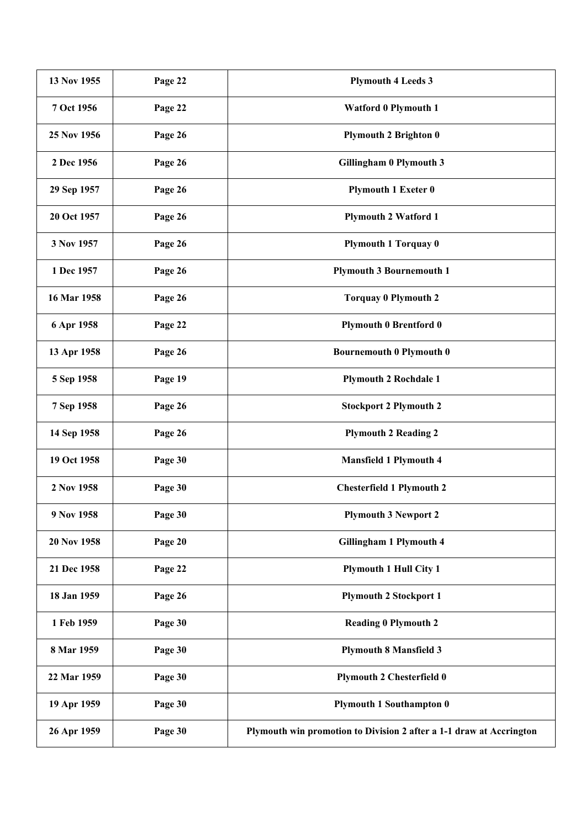| 13 Nov 1955 | Page 22 | <b>Plymouth 4 Leeds 3</b>                                           |
|-------------|---------|---------------------------------------------------------------------|
| 7 Oct 1956  | Page 22 | <b>Watford 0 Plymouth 1</b>                                         |
| 25 Nov 1956 | Page 26 | <b>Plymouth 2 Brighton 0</b>                                        |
| 2 Dec 1956  | Page 26 | <b>Gillingham 0 Plymouth 3</b>                                      |
| 29 Sep 1957 | Page 26 | <b>Plymouth 1 Exeter 0</b>                                          |
| 20 Oct 1957 | Page 26 | <b>Plymouth 2 Watford 1</b>                                         |
| 3 Nov 1957  | Page 26 | <b>Plymouth 1 Torquay 0</b>                                         |
| 1 Dec 1957  | Page 26 | <b>Plymouth 3 Bournemouth 1</b>                                     |
| 16 Mar 1958 | Page 26 | <b>Torquay 0 Plymouth 2</b>                                         |
| 6 Apr 1958  | Page 22 | <b>Plymouth 0 Brentford 0</b>                                       |
| 13 Apr 1958 | Page 26 | <b>Bournemouth 0 Plymouth 0</b>                                     |
| 5 Sep 1958  | Page 19 | <b>Plymouth 2 Rochdale 1</b>                                        |
| 7 Sep 1958  | Page 26 | <b>Stockport 2 Plymouth 2</b>                                       |
| 14 Sep 1958 | Page 26 | <b>Plymouth 2 Reading 2</b>                                         |
| 19 Oct 1958 | Page 30 | <b>Mansfield 1 Plymouth 4</b>                                       |
| 2 Nov 1958  | Page 30 | <b>Chesterfield 1 Plymouth 2</b>                                    |
| 9 Nov 1958  | Page 30 | <b>Plymouth 3 Newport 2</b>                                         |
| 20 Nov 1958 | Page 20 | <b>Gillingham 1 Plymouth 4</b>                                      |
| 21 Dec 1958 | Page 22 | <b>Plymouth 1 Hull City 1</b>                                       |
| 18 Jan 1959 | Page 26 | <b>Plymouth 2 Stockport 1</b>                                       |
| 1 Feb 1959  | Page 30 | <b>Reading 0 Plymouth 2</b>                                         |
| 8 Mar 1959  | Page 30 | <b>Plymouth 8 Mansfield 3</b>                                       |
| 22 Mar 1959 | Page 30 | <b>Plymouth 2 Chesterfield 0</b>                                    |
| 19 Apr 1959 | Page 30 | <b>Plymouth 1 Southampton 0</b>                                     |
| 26 Apr 1959 | Page 30 | Plymouth win promotion to Division 2 after a 1-1 draw at Accrington |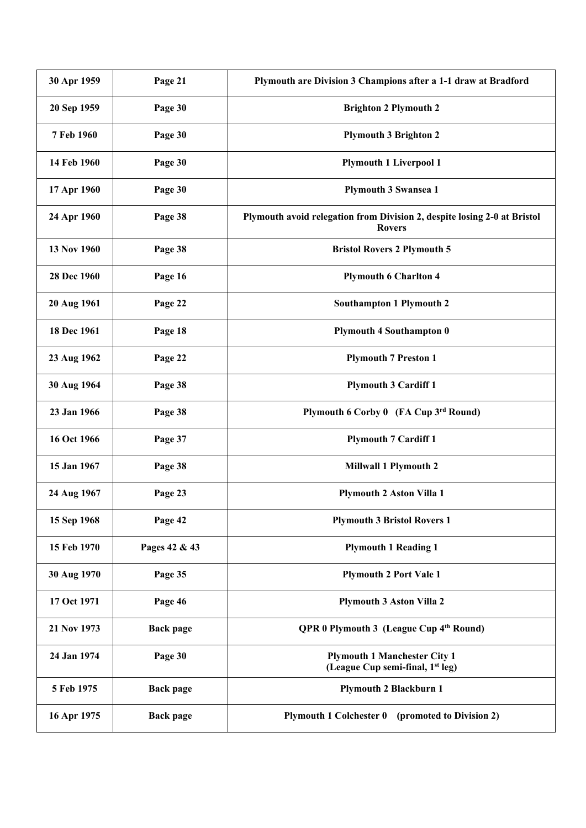| 30 Apr 1959 | Page 21          | Plymouth are Division 3 Champions after a 1-1 draw at Bradford                            |
|-------------|------------------|-------------------------------------------------------------------------------------------|
| 20 Sep 1959 | Page 30          | <b>Brighton 2 Plymouth 2</b>                                                              |
| 7 Feb 1960  | Page 30          | <b>Plymouth 3 Brighton 2</b>                                                              |
| 14 Feb 1960 | Page 30          | <b>Plymouth 1 Liverpool 1</b>                                                             |
| 17 Apr 1960 | Page 30          | <b>Plymouth 3 Swansea 1</b>                                                               |
| 24 Apr 1960 | Page 38          | Plymouth avoid relegation from Division 2, despite losing 2-0 at Bristol<br><b>Rovers</b> |
| 13 Nov 1960 | Page 38          | <b>Bristol Rovers 2 Plymouth 5</b>                                                        |
| 28 Dec 1960 | Page 16          | <b>Plymouth 6 Charlton 4</b>                                                              |
| 20 Aug 1961 | Page 22          | Southampton 1 Plymouth 2                                                                  |
| 18 Dec 1961 | Page 18          | <b>Plymouth 4 Southampton 0</b>                                                           |
| 23 Aug 1962 | Page 22          | <b>Plymouth 7 Preston 1</b>                                                               |
| 30 Aug 1964 | Page 38          | <b>Plymouth 3 Cardiff 1</b>                                                               |
| 23 Jan 1966 | Page 38          | Plymouth 6 Corby 0 (FA Cup 3rd Round)                                                     |
| 16 Oct 1966 | Page 37          | <b>Plymouth 7 Cardiff 1</b>                                                               |
| 15 Jan 1967 | Page 38          | <b>Millwall 1 Plymouth 2</b>                                                              |
| 24 Aug 1967 | Page 23          | <b>Plymouth 2 Aston Villa 1</b>                                                           |
| 15 Sep 1968 | Page 42          | <b>Plymouth 3 Bristol Rovers 1</b>                                                        |
| 15 Feb 1970 | Pages 42 & 43    | <b>Plymouth 1 Reading 1</b>                                                               |
| 30 Aug 1970 | Page 35          | <b>Plymouth 2 Port Vale 1</b>                                                             |
| 17 Oct 1971 | Page 46          | <b>Plymouth 3 Aston Villa 2</b>                                                           |
| 21 Nov 1973 | <b>Back page</b> | QPR 0 Plymouth 3 (League Cup 4th Round)                                                   |
| 24 Jan 1974 | Page 30          | <b>Plymouth 1 Manchester City 1</b><br>(League Cup semi-final, 1 <sup>st</sup> leg)       |
| 5 Feb 1975  | <b>Back page</b> | <b>Plymouth 2 Blackburn 1</b>                                                             |
| 16 Apr 1975 | <b>Back page</b> | Plymouth 1 Colchester 0 (promoted to Division 2)                                          |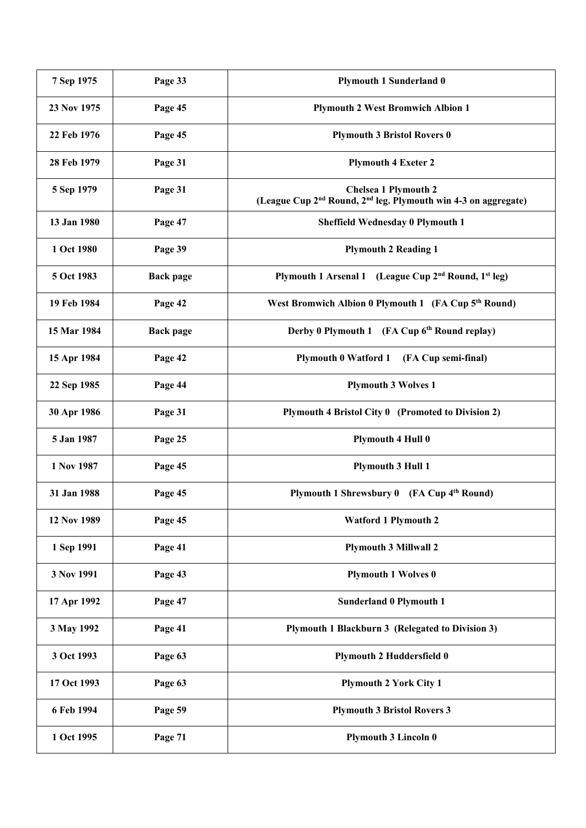| 7 Sep 1975  | Page 33          | <b>Plymouth 1 Sunderland 0</b>                                                                                        |
|-------------|------------------|-----------------------------------------------------------------------------------------------------------------------|
| 23 Nov 1975 | Page 45          | <b>Plymouth 2 West Bromwich Albion 1</b>                                                                              |
| 22 Feb 1976 | Page 45          | <b>Plymouth 3 Bristol Rovers 0</b>                                                                                    |
| 28 Feb 1979 | Page 31          | <b>Plymouth 4 Exeter 2</b>                                                                                            |
| 5 Sep 1979  | Page 31          | <b>Chelsea 1 Plymouth 2</b><br>(League Cup 2 <sup>nd</sup> Round, 2 <sup>nd</sup> leg. Plymouth win 4-3 on aggregate) |
| 13 Jan 1980 | Page 47          | Sheffield Wednesday 0 Plymouth 1                                                                                      |
| 1 Oct 1980  | Page 39          | <b>Plymouth 2 Reading 1</b>                                                                                           |
| 5 Oct 1983  | <b>Back page</b> | Plymouth 1 Arsenal 1 (League Cup 2 <sup>nd</sup> Round, 1 <sup>st</sup> leg)                                          |
| 19 Feb 1984 | Page 42          | West Bromwich Albion 0 Plymouth 1 (FA Cup 5 <sup>th</sup> Round)                                                      |
| 15 Mar 1984 | <b>Back page</b> | Derby 0 Plymouth 1 (FA Cup 6th Round replay)                                                                          |
| 15 Apr 1984 | Page 42          | <b>Plymouth 0 Watford 1</b><br>(FA Cup semi-final)                                                                    |
| 22 Sep 1985 | Page 44          | <b>Plymouth 3 Wolves 1</b>                                                                                            |
| 30 Apr 1986 | Page 31          | Plymouth 4 Bristol City 0 (Promoted to Division 2)                                                                    |
| 5 Jan 1987  | Page 25          | <b>Plymouth 4 Hull 0</b>                                                                                              |
| 1 Nov 1987  | Page 45          | <b>Plymouth 3 Hull 1</b>                                                                                              |
| 31 Jan 1988 | Page 45          | Plymouth 1 Shrewsbury 0 (FA Cup 4th Round)                                                                            |
| 12 Nov 1989 | Page 45          | <b>Watford 1 Plymouth 2</b>                                                                                           |
| 1 Sep 1991  | Page 41          | <b>Plymouth 3 Millwall 2</b>                                                                                          |
| 3 Nov 1991  | Page 43          | <b>Plymouth 1 Wolves 0</b>                                                                                            |
| 17 Apr 1992 | Page 47          | <b>Sunderland 0 Plymouth 1</b>                                                                                        |
| 3 May 1992  | Page 41          | Plymouth 1 Blackburn 3 (Relegated to Division 3)                                                                      |
| 3 Oct 1993  | Page 63          | <b>Plymouth 2 Huddersfield 0</b>                                                                                      |
| 17 Oct 1993 | Page 63          | <b>Plymouth 2 York City 1</b>                                                                                         |
| 6 Feb 1994  | Page 59          | <b>Plymouth 3 Bristol Rovers 3</b>                                                                                    |
| 1 Oct 1995  | Page 71          | <b>Plymouth 3 Lincoln 0</b>                                                                                           |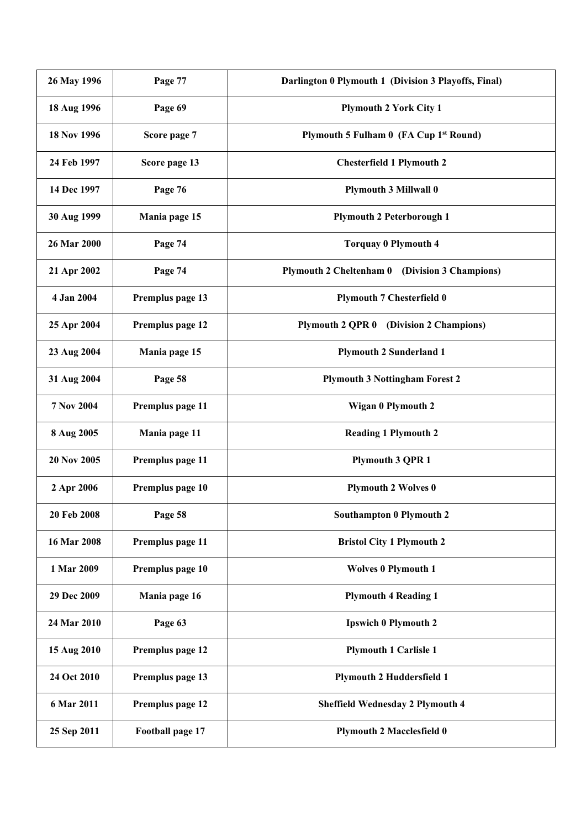| 26 May 1996       | Page 77          | Darlington 0 Plymouth 1 (Division 3 Playoffs, Final) |
|-------------------|------------------|------------------------------------------------------|
| 18 Aug 1996       | Page 69          | <b>Plymouth 2 York City 1</b>                        |
| 18 Nov 1996       | Score page 7     | Plymouth 5 Fulham 0 (FA Cup 1st Round)               |
| 24 Feb 1997       | Score page 13    | <b>Chesterfield 1 Plymouth 2</b>                     |
| 14 Dec 1997       | Page 76          | <b>Plymouth 3 Millwall 0</b>                         |
| 30 Aug 1999       | Mania page 15    | <b>Plymouth 2 Peterborough 1</b>                     |
| 26 Mar 2000       | Page 74          | <b>Torquay 0 Plymouth 4</b>                          |
| 21 Apr 2002       | Page 74          | Plymouth 2 Cheltenham 0 (Division 3 Champions)       |
| 4 Jan 2004        | Premplus page 13 | <b>Plymouth 7 Chesterfield 0</b>                     |
| 25 Apr 2004       | Premplus page 12 | <b>Plymouth 2 QPR 0</b><br>(Division 2 Champions)    |
| 23 Aug 2004       | Mania page 15    | <b>Plymouth 2 Sunderland 1</b>                       |
| 31 Aug 2004       | Page 58          | <b>Plymouth 3 Nottingham Forest 2</b>                |
| <b>7 Nov 2004</b> | Premplus page 11 | Wigan 0 Plymouth 2                                   |
| 8 Aug 2005        | Mania page 11    | <b>Reading 1 Plymouth 2</b>                          |
| 20 Nov 2005       | Premplus page 11 | <b>Plymouth 3 QPR 1</b>                              |
| 2 Apr 2006        | Premplus page 10 | <b>Plymouth 2 Wolves 0</b>                           |
| 20 Feb 2008       | Page 58          | <b>Southampton 0 Plymouth 2</b>                      |
| 16 Mar 2008       | Premplus page 11 | <b>Bristol City 1 Plymouth 2</b>                     |
| 1 Mar 2009        | Premplus page 10 | <b>Wolves 0 Plymouth 1</b>                           |
| 29 Dec 2009       | Mania page 16    | <b>Plymouth 4 Reading 1</b>                          |
| 24 Mar 2010       | Page 63          | <b>Ipswich 0 Plymouth 2</b>                          |
| 15 Aug 2010       | Premplus page 12 | <b>Plymouth 1 Carlisle 1</b>                         |
| 24 Oct 2010       | Premplus page 13 | <b>Plymouth 2 Huddersfield 1</b>                     |
| 6 Mar 2011        | Premplus page 12 | <b>Sheffield Wednesday 2 Plymouth 4</b>              |
| 25 Sep 2011       | Football page 17 | <b>Plymouth 2 Macclesfield 0</b>                     |